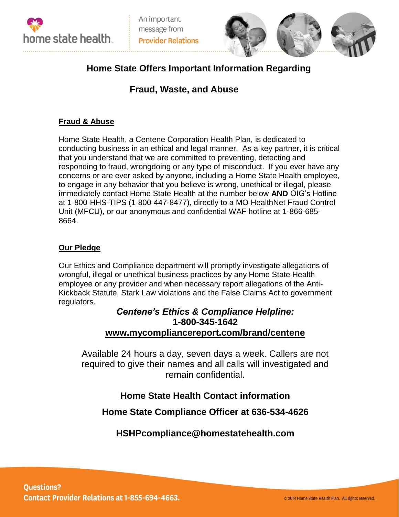



# **Home State Offers Important Information Regarding**

# **Fraud, Waste, and Abuse**

## **Fraud & Abuse**

Home State Health, a Centene Corporation Health Plan, is dedicated to conducting business in an ethical and legal manner. As a key partner, it is critical that you understand that we are committed to preventing, detecting and responding to fraud, wrongdoing or any type of misconduct. If you ever have any concerns or are ever asked by anyone, including a Home State Health employee, to engage in any behavior that you believe is wrong, unethical or illegal, please immediately contact Home State Health at the number below **AND** OIG's Hotline at 1-800-HHS-TIPS (1-800-447-8477), directly to a MO HealthNet Fraud Control Unit (MFCU), or our anonymous and confidential WAF hotline at 1-866-685- 8664.

### **Our Pledge**

Our Ethics and Compliance department will promptly investigate allegations of wrongful, illegal or unethical business practices by any Home State Health employee or any provider and when necessary report allegations of the Anti-Kickback Statute, Stark Law violations and the False Claims Act to government regulators.

## *Centene's Ethics & Compliance Helpline:*  **1-800-345-1642 [www.mycompliancereport.com/brand/centene](http://www.mycompliancereport.com/brand/centene)**

Available 24 hours a day, seven days a week. Callers are not required to give their names and all calls will investigated and remain confidential.

## **Home State Health Contact information**

**Home State Compliance Officer at 636-534-4626**

## **HSHPcompliance@homestatehealth.com**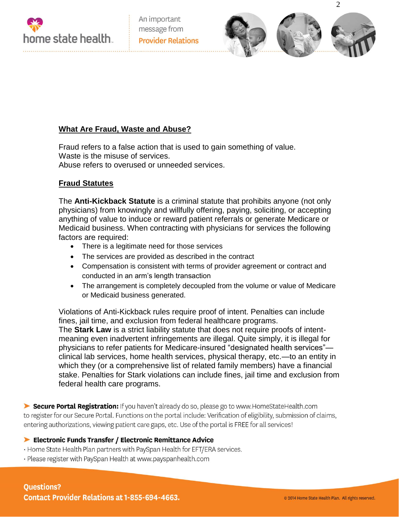



### **What Are Fraud, Waste and Abuse?**

Fraud refers to a false action that is used to gain something of value. Waste is the misuse of services. Abuse refers to overused or unneeded services.

#### **Fraud Statutes**

The **Anti-Kickback Statute** is a criminal statute that prohibits anyone (not only physicians) from knowingly and willfully offering, paying, soliciting, or accepting anything of value to induce or reward patient referrals or generate Medicare or Medicaid business. When contracting with physicians for services the following factors are required:

- There is a legitimate need for those services
- The services are provided as described in the contract
- Compensation is consistent with terms of provider agreement or contract and conducted in an arm's length transaction
- The arrangement is completely decoupled from the volume or value of Medicare or Medicaid business generated.

Violations of Anti-Kickback rules require proof of intent. Penalties can include fines, jail time, and exclusion from federal healthcare programs. The **Stark Law** is a strict liability statute that does not require proofs of intentmeaning even inadvertent infringements are illegal. Quite simply, it is illegal for physicians to refer patients for Medicare-insured "designated health services" clinical lab services, home health services, physical therapy, etc.—to an entity in which they (or a comprehensive list of related family members) have a financial stake. Penalties for Stark violations can include fines, jail time and exclusion from federal health care programs.

Secure Portal Registration: If you haven't already do so, please go to www.HomeStateHealth.com to register for our Secure Portal. Functions on the portal include: Verification of eligibility, submission of claims, entering authorizations, viewing patient care gaps, etc. Use of the portal is FREE for all services!

#### Electronic Funds Transfer / Electronic Remittance Advice

- Home State Health Plan partners with PaySpan Health for EFT/ERA services.
- · Please register with PaySpan Health at www.payspanhealth.com